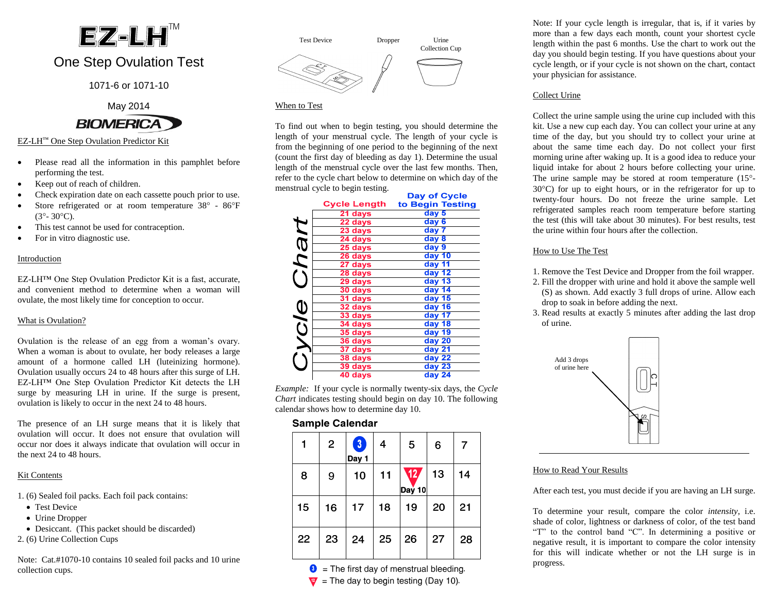# $EZ$ -LH $^{\prime\prime}$

# One Step Ovulation Test

1071-6 or 1071-10

May 2014 **BIOMERICA** 

#### EZ-LH™ One Step Ovulation Predictor Kit

- Please read all the information in this pamphlet before performing the test.
- Keep out of reach of children.
- Check expiration date on each cassette pouch prior to use.
- Store refrigerated or at room temperature  $38^\circ$   $86^\circ$ F  $(3^{\circ} - 30^{\circ}C)$ .
- This test cannot be used for contraception.
- For in vitro diagnostic use.

#### Introduction

EZ-LH™ One Step Ovulation Predictor Kit is a fast, accurate, and convenient method to determine when a woman will ovulate, the most likely time for conception to occur.

#### What is Ovulation?

Ovulation is the release of an egg from a woman's ovary. When a woman is about to ovulate, her body releases a large amount of a hormone called LH (luteinizing hormone). Ovulation usually occurs 24 to 48 hours after this surge of LH. EZ-LH™ One Step Ovulation Predictor Kit detects the LH surge by measuring LH in urine. If the surge is present, ovulation is likely to occur in the next 24 to 48 hours.

The presence of an LH surge means that it is likely that ovulation will occur. It does not ensure that ovulation will occur nor does it always indicate that ovulation will occur in the next 24 to 48 hours.

# Kit Contents

1. (6) Sealed foil packs. Each foil pack contains:

- Test Device
- Urine Dropper
- Desiccant. (This packet should be discarded)
- 2. (6) Urine Collection Cups

Note: Cat.#1070-10 contains 10 sealed foil packs and 10 urine collection cups.



#### When to Test

To find out when to begin testing, you should determine the length of your menstrual cycle. The length of your cycle is from the beginning of one period to the beginning of the next (count the first day of bleeding as day 1). Determine the usual length of the menstrual cycle over the last few months. Then, refer to the cycle chart below to determine on which day of the menstrual cycle to begin testing.

**Day of Cycle** 

|      | Cycle Length         | to Begin Testing  |
|------|----------------------|-------------------|
|      | $\overline{21}$ days | day 5             |
|      | $22$ days            | day 6             |
|      | 23 days              | day 7             |
| nan. | 24 days              | day 8             |
|      | $25$ days            | day 9             |
|      | $26$ days            | $day$ 10          |
|      | 27 days              | $day$ 11          |
|      | 28 days              | $day$ 12          |
|      | $29$ days            | day 13            |
|      | 30 days              | day 14            |
|      | 31 days              | $day$ 15          |
| ycle | $32$ days            | $day$ 16          |
|      | 33 days              | day $17$          |
|      | $34$ days            | day 18            |
|      | 35 days              | day 19            |
|      | 36 days              | day 20            |
|      | $37$ days            | day 21            |
|      | 38 days              | day <sub>22</sub> |
|      | 39 days              | day <sub>23</sub> |
|      | 40 days              | day 24            |

*Example:* If your cycle is normally twenty-six days, the *Cycle Chart* indicates testing should begin on day 10. The following calendar shows how to determine day 10.

# Sample Calendar

|    | $\overline{2}$ | $\lceil 3 \rceil$<br>Day 1 | 4  | 5                         | 6  |    |
|----|----------------|----------------------------|----|---------------------------|----|----|
| 8  | 9              | 10                         | 11 | $\overline{12}$<br>Day 10 | 13 | 14 |
| 15 | 16             | 17                         | 18 | 19                        | 20 | 21 |
| 22 | 23             | 24                         | 25 | 26                        | 27 | 28 |

 $\bullet$  = The first day of menstrual bleeding.

 $\Psi$  = The day to begin testing (Day 10).

Note: If your cycle length is irregular, that is, if it varies by more than a few days each month, count your shortest cycle length within the past 6 months. Use the chart to work out the day you should begin testing. If you have questions about your cycle length, or if your cycle is not shown on the chart, contact your physician for assistance.

# Collect Urine

Collect the urine sample using the urine cup included with this kit. Use a new cup each day. You can collect your urine at any time of the day, but you should try to collect your urine at about the same time each day. Do not collect your first morning urine after waking up. It is a good idea to reduce your liquid intake for about 2 hours before collecting your urine. The urine sample may be stored at room temperature  $(15^{\circ}$ - $30^{\circ}$ C) for up to eight hours, or in the refrigerator for up to twenty-four hours. Do not freeze the urine sample. Let refrigerated samples reach room temperature before starting the test (this will take about 30 minutes). For best results, test the urine within four hours after the collection.

# How to Use The Test

- 1. Remove the Test Device and Dropper from the foil wrapper.
- 2. Fill the dropper with urine and hold it above the sample well (S) as shown. Add exactly 3 full drops of urine. Allow each drop to soak in before adding the next.
- 3. Read results at exactly 5 minutes after adding the last drop of urine.



# How to Read Your Results

After each test, you must decide if you are having an LH surge.

To determine your result, compare the color *intensity*, i.e. shade of color, lightness or darkness of color, of the test band "T" to the control band "C". In determining a positive or negative result, it is important to compare the color intensity for this will indicate whether or not the LH surge is in progress.